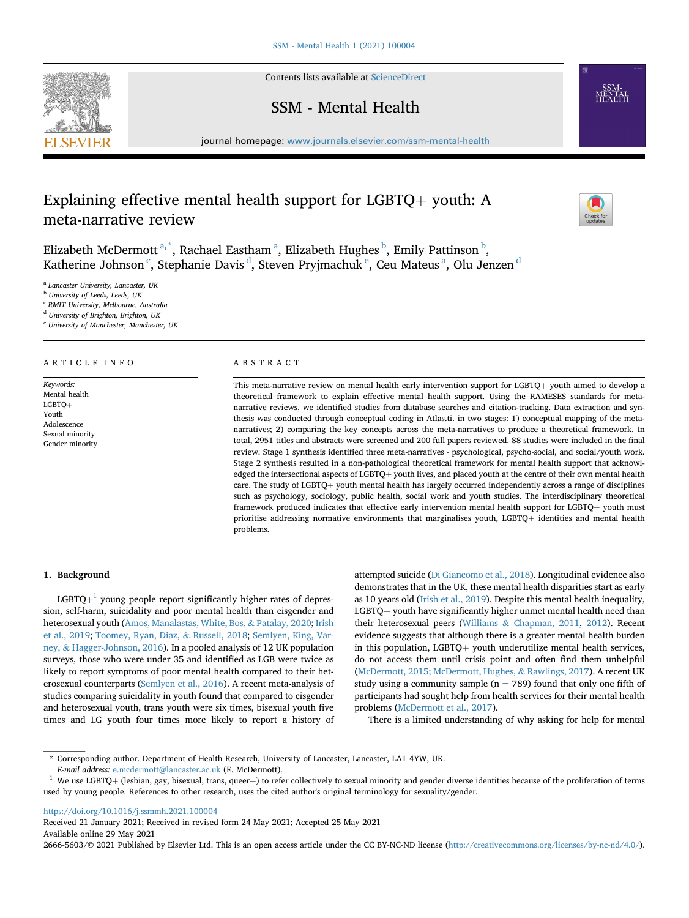Contents lists available at [ScienceDirect](www.sciencedirect.com/science/journal/26665603)

SSM - Mental Health



# Explaining effective mental health support for LGBTQ + youth: A meta-narrative review

Eliz[a](#page-0-0)beth McDermott<sup>a,[\\*](#page-0-1)</sup>, Rachael Eastham<sup>a</sup>, Eliza[b](#page-0-2)eth Hughes <sup>b</sup>, Emily Pattinson <sup>b</sup>, Katherine Johnson <sup>[c](#page-0-3)</sup>, Stephanie Davis <sup>[d](#page-0-4)</sup>, St[e](#page-0-5)ven Pryjm[a](#page-0-0)chuk <sup>e</sup>, Ceu Mateus <sup>a</sup>, Olu Jenzen <sup>d</sup>

<span id="page-0-0"></span><sup>a</sup> Lancaster University, Lancaster, UK

<span id="page-0-2"></span><sup>b</sup> University of Leeds, Leeds, UK

<span id="page-0-3"></span><sup>c</sup> RMIT University, Melbourne, Australia

<span id="page-0-4"></span><sup>d</sup> University of Brighton, Brighton, UK

<span id="page-0-5"></span><sup>e</sup> University of Manchester, Manchester, UK

### ARTICLE INFO

Keywords: Mental health  $LGBTO+$ Youth Adolescence Sexual minority Gender minority

# ABSTRACT

This meta-narrative review on mental health early intervention support for LGBTQ $+$  youth aimed to develop a theoretical framework to explain effective mental health support. Using the RAMESES standards for metanarrative reviews, we identified studies from database searches and citation-tracking. Data extraction and synthesis was conducted through conceptual coding in Atlas.ti. in two stages: 1) conceptual mapping of the metanarratives; 2) comparing the key concepts across the meta-narratives to produce a theoretical framework. In total, 2951 titles and abstracts were screened and 200 full papers reviewed. 88 studies were included in the final review. Stage 1 synthesis identified three meta-narratives - psychological, psycho-social, and social/youth work. Stage 2 synthesis resulted in a non-pathological theoretical framework for mental health support that acknowledged the intersectional aspects of LGBTQ+ youth lives, and placed youth at the centre of their own mental health care. The study of LGBTQ+ youth mental health has largely occurred independently across a range of disciplines such as psychology, sociology, public health, social work and youth studies. The interdisciplinary theoretical framework produced indicates that effective early intervention mental health support for LGBTQ+ youth must prioritise addressing normative environments that marginalises youth, LGBTQ+ identities and mental health problems.

# 1. Background

 $LGBTQ+<sup>1</sup>$  $LGBTQ+<sup>1</sup>$  $LGBTQ+<sup>1</sup>$  young people report significantly higher rates of depression, self-harm, suicidality and poor mental health than cisgender and heterosexual youth [\(Amos, Manalastas, White, Bos,](#page-6-0) & [Patalay, 2020](#page-6-0); [Irish](#page-7-0) [et al., 2019;](#page-7-0) [Toomey, Ryan, Diaz,](#page-8-0) & [Russell, 2018](#page-8-0); [Semlyen, King, Var](#page-8-1)[ney,](#page-8-1) & [Hagger-Johnson, 2016](#page-8-1)). In a pooled analysis of 12 UK population surveys, those who were under 35 and identified as LGB were twice as likely to report symptoms of poor mental health compared to their heterosexual counterparts ([Semlyen et al., 2016](#page-8-1)). A recent meta-analysis of studies comparing suicidality in youth found that compared to cisgender and heterosexual youth, trans youth were six times, bisexual youth five times and LG youth four times more likely to report a history of attempted suicide ([Di Giancomo et al., 2018](#page-7-1)). Longitudinal evidence also demonstrates that in the UK, these mental health disparities start as early as 10 years old [\(Irish et al., 2019](#page-7-0)). Despite this mental health inequality,  $LGBTQ+$  youth have significantly higher unmet mental health need than their heterosexual peers [\(Williams](#page-8-2) & [Chapman, 2011](#page-8-2), [2012](#page-8-3)). Recent evidence suggests that although there is a greater mental health burden in this population, LGBTQ $+$  youth underutilize mental health services, do not access them until crisis point and often find them unhelpful ([McDermott, 2015; McDermott, Hughes,](#page-7-2) & [Rawlings, 2017\)](#page-7-2). A recent UK study using a community sample ( $n = 789$ ) found that only one fifth of participants had sought help from health services for their mental health problems [\(McDermott et al., 2017\)](#page-8-4).

There is a limited understanding of why asking for help for mental

<https://doi.org/10.1016/j.ssmmh.2021.100004>

Received 21 January 2021; Received in revised form 24 May 2021; Accepted 25 May 2021 Available online 29 May 2021

2666-5603/© 2021 Published by Elsevier Ltd. This is an open access article under the CC BY-NC-ND license (<http://creativecommons.org/licenses/by-nc-nd/4.0/>).

<span id="page-0-1"></span><sup>\*</sup> Corresponding author. Department of Health Research, University of Lancaster, Lancaster, LA1 4YW, UK.

E-mail address: [e.mcdermott@lancaster.ac.uk](mailto:e.mcdermott@lancaster.ac.uk) (E. McDermott).

<span id="page-0-6"></span> $1$  We use LGBTQ+ (lesbian, gay, bisexual, trans, queer+) to refer collectively to sexual minority and gender diverse identities because of the proliferation of terms used by young people. References to other research, uses the cited author's original terminology for sexuality/gender.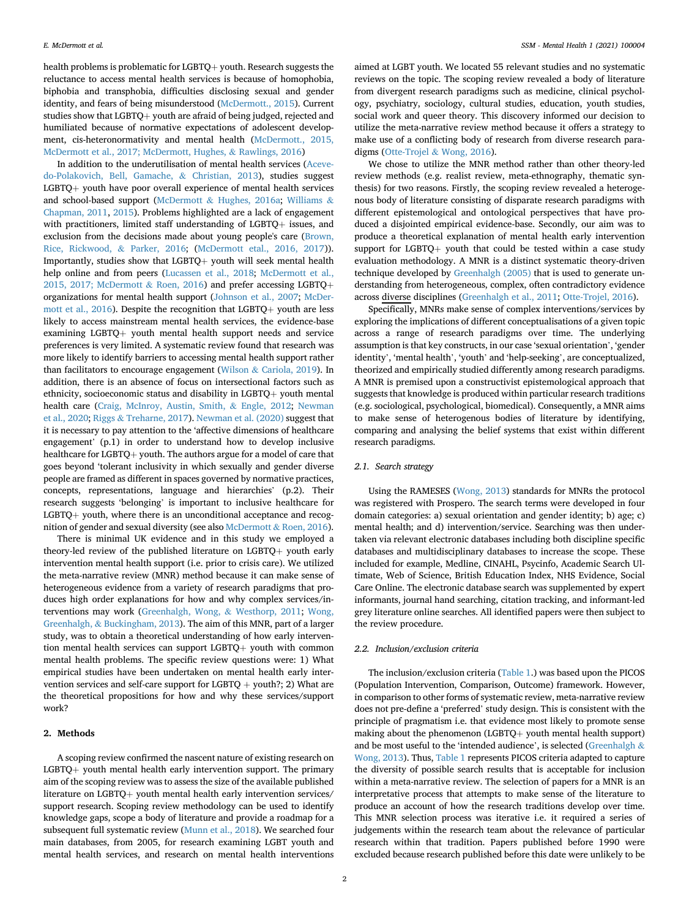health problems is problematic for LGBTQ $+$  youth. Research suggests the reluctance to access mental health services is because of homophobia, biphobia and transphobia, difficulties disclosing sexual and gender identity, and fears of being misunderstood ([McDermott., 2015\)](#page-7-2). Current studies show that  $LGBTQ+$  youth are afraid of being judged, rejected and humiliated because of normative expectations of adolescent development, cis-heteronormativity and mental health ([McDermott., 2015,](#page-7-2) [McDermott et al., 2017; McDermott, Hughes,](#page-7-2) & [Rawlings, 2016\)](#page-7-2)

In addition to the underutilisation of mental health services [\(Aceve](#page-6-1)[do-Polakovich, Bell, Gamache,](#page-6-1) & [Christian, 2013](#page-6-1)), studies suggest  $LGBTQ+$  youth have poor overall experience of mental health services and school-based support ([McDermott](#page-8-5) & [Hughes, 2016a](#page-8-5); [Williams](#page-8-2) & [Chapman, 2011](#page-8-2), [2015\)](#page-8-6). Problems highlighted are a lack of engagement with practitioners, limited staff understanding of LGBTQ $+$  issues, and exclusion from the decisions made about young people's care ([Brown,](#page-6-2) [Rice, Rickwood,](#page-6-2) & [Parker, 2016;](#page-6-2) [\(McDermott etal., 2016, 2017\)](#page-8-5)). Importantly, studies show that  $LGBTO+$  youth will seek mental health help online and from peers [\(Lucassen et al., 2018;](#page-7-3) [McDermott et al.,](#page-8-4) [2015, 2017; McDermott](#page-8-4) & [Roen, 2016](#page-8-4)) and prefer accessing LGBTQ+ organizations for mental health support ([Johnson et al., 2007](#page-7-4); [McDer](#page-8-5)[mott et al., 2016](#page-8-5)). Despite the recognition that LGBTQ $+$  youth are less likely to access mainstream mental health services, the evidence-base examining  $LGBTQ+$  youth mental health support needs and service preferences is very limited. A systematic review found that research was more likely to identify barriers to accessing mental health support rather than facilitators to encourage engagement [\(Wilson](#page-8-7) & [Cariola, 2019\)](#page-8-7). In addition, there is an absence of focus on intersectional factors such as ethnicity, socioeconomic status and disability in LGBTQ $+$  youth mental health care ([Craig, McInroy, Austin, Smith,](#page-7-5) & [Engle, 2012;](#page-7-5) [Newman](#page-8-8) [et al., 2020](#page-8-8); [Riggs](#page-8-9) & [Treharne, 2017\)](#page-8-9). [Newman et al. \(2020\)](#page-8-8) suggest that it is necessary to pay attention to the 'affective dimensions of healthcare engagement' (p.1) in order to understand how to develop inclusive healthcare for LGBTQ+ youth. The authors argue for a model of care that goes beyond 'tolerant inclusivity in which sexually and gender diverse people are framed as different in spaces governed by normative practices, concepts, representations, language and hierarchies' (p.2). Their research suggests 'belonging' is important to inclusive healthcare for  $LGBTQ+$  youth, where there is an unconditional acceptance and recognition of gender and sexual diversity (see also [McDermott](#page-8-10) & [Roen, 2016\)](#page-8-10).

There is minimal UK evidence and in this study we employed a theory-led review of the published literature on  $LGBTQ+$  youth early intervention mental health support (i.e. prior to crisis care). We utilized the meta-narrative review (MNR) method because it can make sense of heterogeneous evidence from a variety of research paradigms that produces high order explanations for how and why complex services/interventions may work ([Greenhalgh, Wong,](#page-7-6) & [Westhorp, 2011;](#page-7-6) [Wong,](#page-8-11) [Greenhalgh,](#page-8-11) & [Buckingham, 2013](#page-8-11)). The aim of this MNR, part of a larger study, was to obtain a theoretical understanding of how early intervention mental health services can support  $LGBTQ+$  youth with common mental health problems. The specific review questions were: 1) What empirical studies have been undertaken on mental health early intervention services and self-care support for LGBTQ  $+$  youth?; 2) What are the theoretical propositions for how and why these services/support work?

# 2. Methods

A scoping review confirmed the nascent nature of existing research on  $LGBTQ+$  youth mental health early intervention support. The primary aim of the scoping review was to assess the size of the available published literature on LGBTQ+ youth mental health early intervention services/ support research. Scoping review methodology can be used to identify knowledge gaps, scope a body of literature and provide a roadmap for a subsequent full systematic review [\(Munn et al., 2018\)](#page-8-12). We searched four main databases, from 2005, for research examining LGBT youth and mental health services, and research on mental health interventions

aimed at LGBT youth. We located 55 relevant studies and no systematic reviews on the topic. The scoping review revealed a body of literature from divergent research paradigms such as medicine, clinical psychology, psychiatry, sociology, cultural studies, education, youth studies, social work and queer theory. This discovery informed our decision to utilize the meta-narrative review method because it offers a strategy to make use of a conflicting body of research from diverse research paradigms ([Otte-Trojel](#page-8-13) & [Wong, 2016\)](#page-8-13).

We chose to utilize the MNR method rather than other theory-led review methods (e.g. realist review, meta-ethnography, thematic synthesis) for two reasons. Firstly, the scoping review revealed a heterogenous body of literature consisting of disparate research paradigms with different epistemological and ontological perspectives that have produced a disjointed empirical evidence-base. Secondly, our aim was to produce a theoretical explanation of mental health early intervention support for LGBTQ $+$  youth that could be tested within a case study evaluation methodology. A MNR is a distinct systematic theory-driven technique developed by [Greenhalgh \(2005\)](#page-7-7) that is used to generate understanding from heterogeneous, complex, often contradictory evidence across diverse disciplines ([Greenhalgh et al., 2011](#page-7-6); [Otte-Trojel, 2016](#page-8-13)).

Specifically, MNRs make sense of complex interventions/services by exploring the implications of different conceptualisations of a given topic across a range of research paradigms over time. The underlying assumption is that key constructs, in our case 'sexual orientation', 'gender identity', 'mental health', 'youth' and 'help-seeking', are conceptualized, theorized and empirically studied differently among research paradigms. A MNR is premised upon a constructivist epistemological approach that suggests that knowledge is produced within particular research traditions (e.g. sociological, psychological, biomedical). Consequently, a MNR aims to make sense of heterogenous bodies of literature by identifying, comparing and analysing the belief systems that exist within different research paradigms.

# 2.1. Search strategy

Using the RAMESES ([Wong, 2013\)](#page-8-11) standards for MNRs the protocol was registered with Prospero. The search terms were developed in four domain categories: a) sexual orientation and gender identity; b) age; c) mental health; and d) intervention/service. Searching was then undertaken via relevant electronic databases including both discipline specific databases and multidisciplinary databases to increase the scope. These included for example, Medline, CINAHL, Psycinfo, Academic Search Ultimate, Web of Science, British Education Index, NHS Evidence, Social Care Online. The electronic database search was supplemented by expert informants, journal hand searching, citation tracking, and informant-led grey literature online searches. All identified papers were then subject to the review procedure.

# 2.2. Inclusion/exclusion criteria

The inclusion/exclusion criteria ([Table 1](#page-2-0).) was based upon the PICOS (Population Intervention, Comparison, Outcome) framework. However, in comparison to other forms of systematic review, meta-narrative review does not pre-define a 'preferred' study design. This is consistent with the principle of pragmatism i.e. that evidence most likely to promote sense making about the phenomenon (LGBTQ $+$  youth mental health support) and be most useful to the 'intended audience', is selected [\(Greenhalgh](#page-7-8) & [Wong, 2013\)](#page-7-8). Thus, [Table 1](#page-2-0) represents PICOS criteria adapted to capture the diversity of possible search results that is acceptable for inclusion within a meta-narrative review. The selection of papers for a MNR is an interpretative process that attempts to make sense of the literature to produce an account of how the research traditions develop over time. This MNR selection process was iterative i.e. it required a series of judgements within the research team about the relevance of particular research within that tradition. Papers published before 1990 were excluded because research published before this date were unlikely to be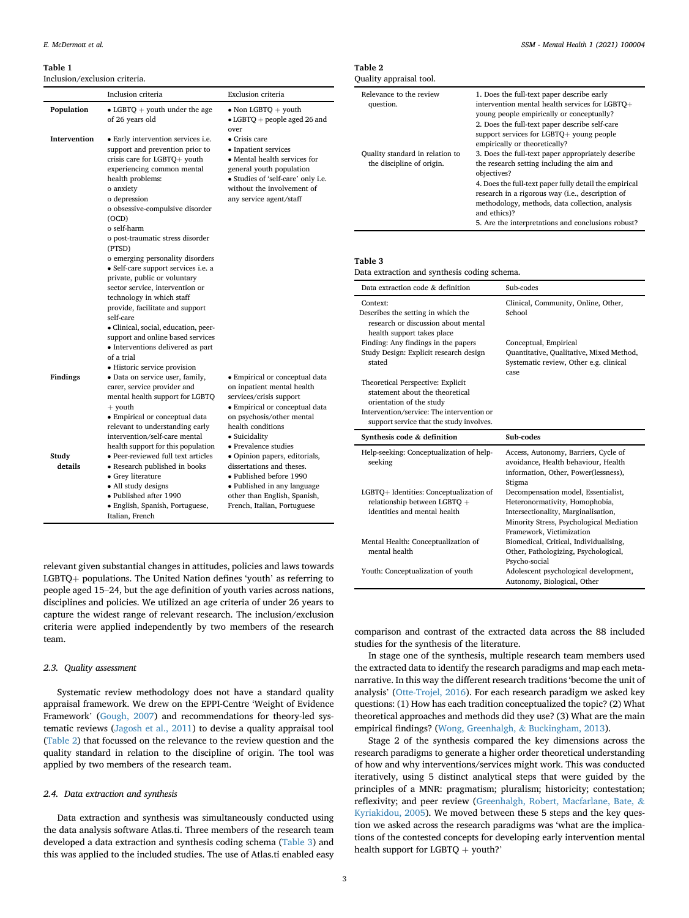#### <span id="page-2-0"></span>Table 1

| $\bullet$ LGBTQ + youth under the age<br>of 26 years old                                                                                                                                                                                                                                                                          | • Non LGBTQ $+$ youth<br>$\bullet$ LGBTQ + people aged 26 and<br>over                                                                                                                                                                                 |
|-----------------------------------------------------------------------------------------------------------------------------------------------------------------------------------------------------------------------------------------------------------------------------------------------------------------------------------|-------------------------------------------------------------------------------------------------------------------------------------------------------------------------------------------------------------------------------------------------------|
| • Early intervention services i.e.<br>support and prevention prior to<br>crisis care for LGBTQ+ youth<br>experiencing common mental<br>health problems:<br>o anxiety<br>o depression<br>o obsessive-compulsive disorder<br>(OCD)<br>o self-harm<br>o post-traumatic stress disorder<br>(PTSD)<br>o emerging personality disorders | $\bullet$ Crisis care<br>• Inpatient services<br>• Mental health services for<br>general youth population<br>• Studies of 'self-care' only i.e.<br>without the involvement of<br>any service agent/staff                                              |
| private, public or voluntary<br>sector service, intervention or<br>technology in which staff<br>provide, facilitate and support<br>self-care                                                                                                                                                                                      |                                                                                                                                                                                                                                                       |
| support and online based services<br>• Interventions delivered as part<br>of a trial                                                                                                                                                                                                                                              |                                                                                                                                                                                                                                                       |
| · Data on service user, family,<br>carer, service provider and<br>mental health support for LGBTQ                                                                                                                                                                                                                                 | • Empirical or conceptual data<br>on inpatient mental health<br>services/crisis support                                                                                                                                                               |
| • Empirical or conceptual data<br>relevant to understanding early                                                                                                                                                                                                                                                                 | • Empirical or conceptual data<br>on psychosis/other mental<br>health conditions<br>• Suicidality                                                                                                                                                     |
| health support for this population                                                                                                                                                                                                                                                                                                | • Prevalence studies                                                                                                                                                                                                                                  |
| • Research published in books<br>• Grey literature<br>• All study designs<br>· Published after 1990                                                                                                                                                                                                                               | • Opinion papers, editorials,<br>dissertations and theses.<br>· Published before 1990<br>• Published in any language<br>other than English, Spanish,<br>French, Italian, Portuguese                                                                   |
|                                                                                                                                                                                                                                                                                                                                   | · Self-care support services i.e. a<br>· Clinical, social, education, peer-<br>• Historic service provision<br>$+$ youth<br>intervention/self-care mental<br>• Peer-reviewed full text articles<br>• English, Spanish, Portuguese,<br>Italian, French |

relevant given substantial changes in attitudes, policies and laws towards LGBTQ $+$  populations. The United Nation defines 'youth' as referring to people aged 15–24, but the age definition of youth varies across nations, disciplines and policies. We utilized an age criteria of under 26 years to capture the widest range of relevant research. The inclusion/exclusion criteria were applied independently by two members of the research team.

# 2.3. Quality assessment

Systematic review methodology does not have a standard quality appraisal framework. We drew on the EPPI-Centre 'Weight of Evidence Framework' ([Gough, 2007](#page-7-9)) and recommendations for theory-led systematic reviews ([Jagosh et al., 2011](#page-7-10)) to devise a quality appraisal tool ([Table 2\)](#page-2-1) that focussed on the relevance to the review question and the quality standard in relation to the discipline of origin. The tool was applied by two members of the research team.

# 2.4. Data extraction and synthesis

Data extraction and synthesis was simultaneously conducted using the data analysis software Atlas.ti. Three members of the research team developed a data extraction and synthesis coding schema [\(Table 3](#page-2-2)) and this was applied to the included studies. The use of Atlas.ti enabled easy

| таріе 2<br>Quality appraisal tool.                           |                                                                                                                                                                                                                                                                                                  |
|--------------------------------------------------------------|--------------------------------------------------------------------------------------------------------------------------------------------------------------------------------------------------------------------------------------------------------------------------------------------------|
| Relevance to the review<br>question.                         | 1. Does the full-text paper describe early<br>intervention mental health services for LGBTO+<br>young people empirically or conceptually?<br>2. Does the full-text paper describe self-care<br>support services for $LGBTO+$ young people<br>empirically or theoretically?                       |
| Quality standard in relation to<br>the discipline of origin. | 3. Does the full-text paper appropriately describe<br>the research setting including the aim and<br>objectives?<br>4. Does the full-text paper fully detail the empirical<br>research in a rigorous way (i.e., description of<br>methodology, methods, data collection, analysis<br>and ethics)? |
|                                                              | 5. Are the interpretations and conclusions robust?                                                                                                                                                                                                                                               |

# <span id="page-2-2"></span>ible 3

<span id="page-2-1"></span> $T<sub>1</sub>$ 

| Data extraction and synthesis coding schema. |  |  |
|----------------------------------------------|--|--|
|                                              |  |  |

| Data extraction code & definition                                                                                                                                                         | Sub-codes                                                                                                                                                                            |
|-------------------------------------------------------------------------------------------------------------------------------------------------------------------------------------------|--------------------------------------------------------------------------------------------------------------------------------------------------------------------------------------|
| Context:<br>Describes the setting in which the<br>research or discussion about mental<br>health support takes place                                                                       | Clinical, Community, Online, Other,<br>School                                                                                                                                        |
| Finding: Any findings in the papers<br>Study Design: Explicit research design<br>stated                                                                                                   | Conceptual, Empirical<br>Quantitative, Qualitative, Mixed Method,<br>Systematic review, Other e.g. clinical<br>case                                                                  |
| Theoretical Perspective: Explicit<br>statement about the theoretical<br>orientation of the study<br>Intervention/service: The intervention or<br>support service that the study involves. |                                                                                                                                                                                      |
| Synthesis code & definition                                                                                                                                                               | Sub-codes                                                                                                                                                                            |
| Help-seeking: Conceptualization of help-<br>seeking                                                                                                                                       | Access, Autonomy, Barriers, Cycle of<br>avoidance, Health behaviour, Health<br>information, Other, Power(lessness),<br>Stigma                                                        |
| LGBTQ+ Identities: Conceptualization of<br>relationship between LGBTO +<br>identities and mental health                                                                                   | Decompensation model, Essentialist,<br>Heteronormativity, Homophobia,<br>Intersectionality, Marginalisation,<br>Minority Stress, Psychological Mediation<br>Framework, Victimization |
| Mental Health: Conceptualization of<br>mental health                                                                                                                                      | Biomedical, Critical, Individualising,<br>Other, Pathologizing, Psychological,<br>Psycho-social                                                                                      |
| Youth: Conceptualization of youth                                                                                                                                                         | Adolescent psychological development,<br>Autonomy, Biological, Other                                                                                                                 |

comparison and contrast of the extracted data across the 88 included studies for the synthesis of the literature.

In stage one of the synthesis, multiple research team members used the extracted data to identify the research paradigms and map each metanarrative. In this way the different research traditions 'become the unit of analysis' [\(Otte-Trojel, 2016\)](#page-8-13). For each research paradigm we asked key questions: (1) How has each tradition conceptualized the topic? (2) What theoretical approaches and methods did they use? (3) What are the main empirical findings? [\(Wong, Greenhalgh,](#page-8-11) & [Buckingham, 2013](#page-8-11)).

Stage 2 of the synthesis compared the key dimensions across the research paradigms to generate a higher order theoretical understanding of how and why interventions/services might work. This was conducted iteratively, using 5 distinct analytical steps that were guided by the principles of a MNR: pragmatism; pluralism; historicity; contestation; reflexivity; and peer review ([Greenhalgh, Robert, Macfarlane, Bate,](#page-7-7) & [Kyriakidou, 2005\)](#page-7-7). We moved between these 5 steps and the key question we asked across the research paradigms was 'what are the implications of the contested concepts for developing early intervention mental health support for  $LGBTQ +$  youth?'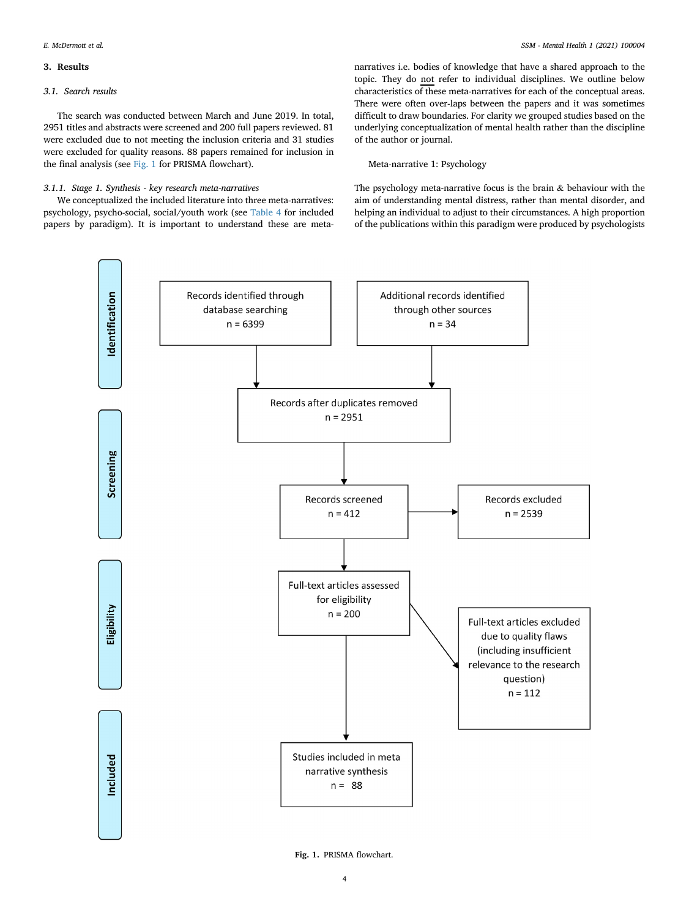# 3. Results

# 3.1. Search results

The search was conducted between March and June 2019. In total, 2951 titles and abstracts were screened and 200 full papers reviewed. 81 were excluded due to not meeting the inclusion criteria and 31 studies were excluded for quality reasons. 88 papers remained for inclusion in the final analysis (see [Fig. 1](#page-3-0) for PRISMA flowchart).

# 3.1.1. Stage 1. Synthesis - key research meta-narratives

We conceptualized the included literature into three meta-narratives: psychology, psycho-social, social/youth work (see [Table 4](#page-4-0) for included papers by paradigm). It is important to understand these are metanarratives i.e. bodies of knowledge that have a shared approach to the topic. They do not refer to individual disciplines. We outline below characteristics of these meta-narratives for each of the conceptual areas. There were often over-laps between the papers and it was sometimes difficult to draw boundaries. For clarity we grouped studies based on the underlying conceptualization of mental health rather than the discipline of the author or journal.

# Meta-narrative 1: Psychology

The psychology meta-narrative focus is the brain & behaviour with the aim of understanding mental distress, rather than mental disorder, and helping an individual to adjust to their circumstances. A high proportion of the publications within this paradigm were produced by psychologists

<span id="page-3-0"></span>

Fig. 1. PRISMA flowchart.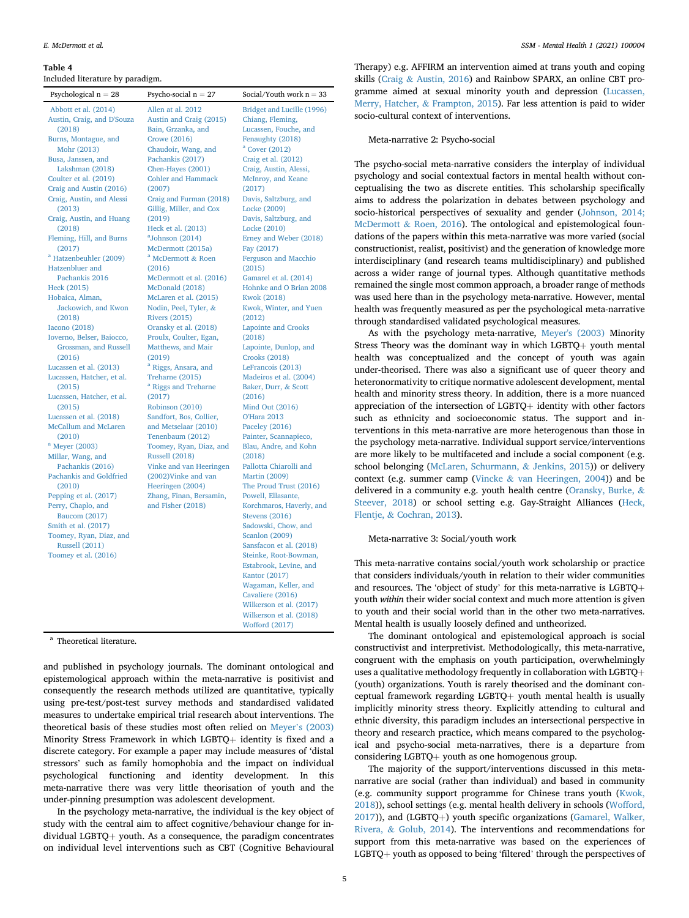#### <span id="page-4-0"></span>Table 4

Included literature by paradigm.

| Psychological $n = 28$                                                                                                                                                           | Psycho-social $n = 27$                                           | Social/Youth work $n = 33$                                                                                                                                                                                                                                                                                                                         |
|----------------------------------------------------------------------------------------------------------------------------------------------------------------------------------|------------------------------------------------------------------|----------------------------------------------------------------------------------------------------------------------------------------------------------------------------------------------------------------------------------------------------------------------------------------------------------------------------------------------------|
| Abbott et al. (2014)                                                                                                                                                             | Allen at al. 2012                                                | Bridget and Lucille (1996)                                                                                                                                                                                                                                                                                                                         |
| Austin, Craig, and D'Souza                                                                                                                                                       | Austin and Craig (2015)                                          | Chiang, Fleming,                                                                                                                                                                                                                                                                                                                                   |
| (2018)                                                                                                                                                                           | Bain, Grzanka, and                                               | Lucassen, Fouche, and                                                                                                                                                                                                                                                                                                                              |
| Burns, Montague, and                                                                                                                                                             | <b>Crowe (2016)</b>                                              | Fenaughty (2018)                                                                                                                                                                                                                                                                                                                                   |
| Mohr (2013)                                                                                                                                                                      | Chaudoir, Wang, and                                              | <sup>a</sup> Cover (2012)                                                                                                                                                                                                                                                                                                                          |
| Busa, Janssen, and                                                                                                                                                               | Pachankis (2017)                                                 | Craig et al. (2012)                                                                                                                                                                                                                                                                                                                                |
| Lakshman (2018)                                                                                                                                                                  | Chen-Hayes (2001)                                                | Craig, Austin, Alessi,                                                                                                                                                                                                                                                                                                                             |
| Coulter et al. (2019)                                                                                                                                                            | <b>Cohler and Hammack</b>                                        | McInroy, and Keane                                                                                                                                                                                                                                                                                                                                 |
| Craig and Austin (2016)                                                                                                                                                          | (2007)                                                           | (2017)                                                                                                                                                                                                                                                                                                                                             |
| Craig, Austin, and Alessi                                                                                                                                                        | Craig and Furman (2018)                                          | Davis, Saltzburg, and                                                                                                                                                                                                                                                                                                                              |
| (2013)                                                                                                                                                                           | Gillig, Miller, and Cox                                          | Locke (2009)                                                                                                                                                                                                                                                                                                                                       |
| Craig, Austin, and Huang                                                                                                                                                         | (2019)                                                           | Davis, Saltzburg, and                                                                                                                                                                                                                                                                                                                              |
| (2018)                                                                                                                                                                           | Heck et al. (2013)                                               | Locke (2010)                                                                                                                                                                                                                                                                                                                                       |
| Fleming, Hill, and Burns                                                                                                                                                         | $a$ Johnson (2014)                                               | Erney and Weber (2018)                                                                                                                                                                                                                                                                                                                             |
| (2017)                                                                                                                                                                           | McDermott (2015a)                                                | Fay (2017)                                                                                                                                                                                                                                                                                                                                         |
| <sup>a</sup> Hatzenbeuhler (2009)                                                                                                                                                | <sup>a</sup> McDermott & Roen                                    | <b>Ferguson and Macchio</b>                                                                                                                                                                                                                                                                                                                        |
| Hatzenbluer and                                                                                                                                                                  | (2016)                                                           | (2015)                                                                                                                                                                                                                                                                                                                                             |
| Pachankis 2016                                                                                                                                                                   | McDermott et al. (2016)                                          | Gamarel et al. (2014)                                                                                                                                                                                                                                                                                                                              |
| Heck (2015)                                                                                                                                                                      | McDonald (2018)                                                  | Hohnke and O Brian 2008                                                                                                                                                                                                                                                                                                                            |
| Hobaica, Alman,                                                                                                                                                                  | McLaren et al. (2015)                                            | <b>Kwok (2018)</b>                                                                                                                                                                                                                                                                                                                                 |
| Jackowich, and Kwon                                                                                                                                                              | Nodin, Peel, Tyler, &                                            | Kwok, Winter, and Yuen                                                                                                                                                                                                                                                                                                                             |
| (2018)                                                                                                                                                                           | <b>Rivers (2015)</b>                                             | (2012)                                                                                                                                                                                                                                                                                                                                             |
| <b>Iacono</b> (2018)                                                                                                                                                             | Oransky et al. (2018)                                            | <b>Lapointe and Crooks</b>                                                                                                                                                                                                                                                                                                                         |
| Ioverno, Belser, Baiocco,                                                                                                                                                        | Proulx, Coulter, Egan,                                           | (2018)                                                                                                                                                                                                                                                                                                                                             |
| Grossman, and Russell                                                                                                                                                            | Matthews, and Mair                                               | Lapointe, Dunlop, and                                                                                                                                                                                                                                                                                                                              |
| (2016)                                                                                                                                                                           | (2019)                                                           | <b>Crooks (2018)</b>                                                                                                                                                                                                                                                                                                                               |
| Lucassen et al. (2013)                                                                                                                                                           | <sup>a</sup> Riggs, Ansara, and                                  | LeFrancois (2013)                                                                                                                                                                                                                                                                                                                                  |
| Lucassen, Hatcher, et al.                                                                                                                                                        | Treharne (2015)                                                  | Madeiros et al. (2004)                                                                                                                                                                                                                                                                                                                             |
| (2015)                                                                                                                                                                           | <sup>a</sup> Riggs and Treharne                                  | Baker, Durr, & Scott                                                                                                                                                                                                                                                                                                                               |
| Lucassen, Hatcher, et al.                                                                                                                                                        | (2017)                                                           | (2016)                                                                                                                                                                                                                                                                                                                                             |
| (2015)                                                                                                                                                                           | Robinson (2010)                                                  | <b>Mind Out (2016)</b>                                                                                                                                                                                                                                                                                                                             |
| Lucassen et al. (2018)                                                                                                                                                           | Sandfort, Bos, Collier,                                          | <b>O'Hara 2013</b>                                                                                                                                                                                                                                                                                                                                 |
| McCallum and McLaren                                                                                                                                                             | and Metselaar (2010)                                             | Paceley (2016)                                                                                                                                                                                                                                                                                                                                     |
| (2010)                                                                                                                                                                           | Tenenbaum (2012)                                                 | Painter, Scannapieco,                                                                                                                                                                                                                                                                                                                              |
| $^{\rm a}$ Meyer (2003)                                                                                                                                                          | Toomey, Ryan, Diaz, and                                          | Blau, Andre, and Kohn                                                                                                                                                                                                                                                                                                                              |
| Millar, Wang, and                                                                                                                                                                | <b>Russell (2018)</b>                                            | (2018)                                                                                                                                                                                                                                                                                                                                             |
| Pachankis (2016)                                                                                                                                                                 | Vinke and van Heeringen                                          | Pallotta Chiarolli and                                                                                                                                                                                                                                                                                                                             |
| Pachankis and Goldfried                                                                                                                                                          | (2002) Vinke and van                                             | <b>Martin (2009)</b>                                                                                                                                                                                                                                                                                                                               |
| (2010)<br>Pepping et al. (2017)<br>Perry, Chaplo, and<br><b>Baucom (2017)</b><br>Smith et al. (2017)<br>Toomey, Ryan, Diaz, and<br><b>Russell (2011)</b><br>Toomey et al. (2016) | Heeringen (2004)<br>Zhang, Finan, Bersamin,<br>and Fisher (2018) | The Proud Trust (2016)<br>Powell, Ellasante,<br>Korchmaros, Haverly, and<br><b>Stevens</b> (2016)<br>Sadowski, Chow, and<br><b>Scanlon</b> (2009)<br>Sansfacon et al. (2018)<br>Steinke, Root-Bowman,<br>Estabrook, Levine, and<br>Kantor (2017)<br>Wagaman, Keller, and<br>Cavaliere (2016)<br>Wilkerson et al. (2017)<br>Wilkerson et al. (2018) |

<span id="page-4-1"></span><sup>a</sup> Theoretical literature.

and published in psychology journals. The dominant ontological and epistemological approach within the meta-narrative is positivist and consequently the research methods utilized are quantitative, typically using pre-test/post-test survey methods and standardised validated measures to undertake empirical trial research about interventions. The theoretical basis of these studies most often relied on Meyer'[s \(2003\)](#page-8-14) Minority Stress Framework in which LGBTQ $+$  identity is fixed and a discrete category. For example a paper may include measures of 'distal stressors' such as family homophobia and the impact on individual psychological functioning and identity development. In this meta-narrative there was very little theorisation of youth and the under-pinning presumption was adolescent development.

[Wofford \(2017\)](#page-8-18)

In the psychology meta-narrative, the individual is the key object of study with the central aim to affect cognitive/behaviour change for individual LGBTQ $+$  youth. As a consequence, the paradigm concentrates on individual level interventions such as CBT (Cognitive Behavioural

Therapy) e.g. AFFIRM an intervention aimed at trans youth and coping skills ([Craig](#page-7-11) & [Austin, 2016\)](#page-7-11) and Rainbow SPARX, an online CBT programme aimed at sexual minority youth and depression ([Lucassen,](#page-7-12) [Merry, Hatcher,](#page-7-12) & [Frampton, 2015](#page-7-12)). Far less attention is paid to wider socio-cultural context of interventions.

### Meta-narrative 2: Psycho-social

The psycho-social meta-narrative considers the interplay of individual psychology and social contextual factors in mental health without conceptualising the two as discrete entities. This scholarship specifically aims to address the polarization in debates between psychology and socio-historical perspectives of sexuality and gender ([Johnson, 2014;](#page-7-13) [McDermott](#page-7-13) & [Roen, 2016](#page-7-13)). The ontological and epistemological foundations of the papers within this meta-narrative was more varied (social constructionist, realist, positivist) and the generation of knowledge more interdisciplinary (and research teams multidisciplinary) and published across a wider range of journal types. Although quantitative methods remained the single most common approach, a broader range of methods was used here than in the psychology meta-narrative. However, mental health was frequently measured as per the psychological meta-narrative through standardised validated psychological measures.

As with the psychology meta-narrative, [Meyer's \(2003\)](#page-8-14) Minority Stress Theory was the dominant way in which LGBTQ $+$  youth mental health was conceptualized and the concept of youth was again under-theorised. There was also a significant use of queer theory and heteronormativity to critique normative adolescent development, mental health and minority stress theory. In addition, there is a more nuanced appreciation of the intersection of LGBTQ $+$  identity with other factors such as ethnicity and socioeconomic status. The support and interventions in this meta-narrative are more heterogenous than those in the psychology meta-narrative. Individual support service/interventions are more likely to be multifaceted and include a social component (e.g. school belonging [\(McLaren, Schurmann,](#page-8-15) & [Jenkins, 2015](#page-8-15))) or delivery context (e.g. summer camp [\(Vincke](#page-8-16) & [van Heeringen, 2004\)](#page-8-16)) and be delivered in a community e.g. youth health centre [\(Oransky, Burke,](#page-8-17) & [Steever, 2018](#page-8-17)) or school setting e.g. Gay-Straight Alliances ([Heck,](#page-7-14) [Flentje,](#page-7-14) & [Cochran, 2013\)](#page-7-14).

# Meta-narrative 3: Social/youth work

This meta-narrative contains social/youth work scholarship or practice that considers individuals/youth in relation to their wider communities and resources. The 'object of study' for this meta-narrative is  $LGBTQ +$ youth within their wider social context and much more attention is given to youth and their social world than in the other two meta-narratives. Mental health is usually loosely defined and untheorized.

The dominant ontological and epistemological approach is social constructivist and interpretivist. Methodologically, this meta-narrative, congruent with the emphasis on youth participation, overwhelmingly uses a qualitative methodology frequently in collaboration with LGBTQ+ (youth) organizations. Youth is rarely theorised and the dominant conceptual framework regarding LGBTQ $+$  youth mental health is usually implicitly minority stress theory. Explicitly attending to cultural and ethnic diversity, this paradigm includes an intersectional perspective in theory and research practice, which means compared to the psychological and psycho-social meta-narratives, there is a departure from considering LGBTQ $+$  youth as one homogenous group.

The majority of the support/interventions discussed in this metanarrative are social (rather than individual) and based in community (e.g. community support programme for Chinese trans youth ([Kwok,](#page-7-15) [2018\)](#page-7-15)), school settings (e.g. mental health delivery in schools ([Wofford,](#page-8-18)  $2017$ )), and (LGBTQ+) youth specific organizations [\(Gamarel, Walker,](#page-7-16) [Rivera,](#page-7-16) & [Golub, 2014\)](#page-7-16). The interventions and recommendations for support from this meta-narrative was based on the experiences of  $LGBTQ+$  youth as opposed to being 'filtered' through the perspectives of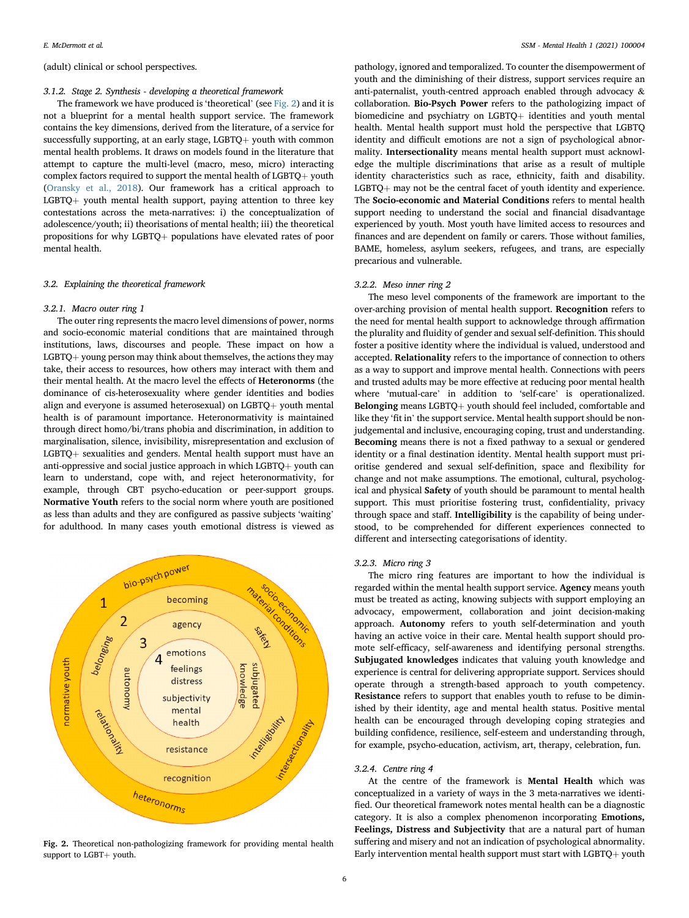# (adult) clinical or school perspectives.

# 3.1.2. Stage 2. Synthesis - developing a theoretical framework

The framework we have produced is 'theoretical' (see [Fig. 2](#page-5-0)) and it is not a blueprint for a mental health support service. The framework contains the key dimensions, derived from the literature, of a service for successfully supporting, at an early stage, LGBTQ $+$  youth with common mental health problems. It draws on models found in the literature that attempt to capture the multi-level (macro, meso, micro) interacting complex factors required to support the mental health of LGBTQ $+$  youth ([Oransky et al., 2018](#page-8-17)). Our framework has a critical approach to  $LGBTQ+$  youth mental health support, paying attention to three key contestations across the meta-narratives: i) the conceptualization of adolescence/youth; ii) theorisations of mental health; iii) the theoretical propositions for why LGBTQ+ populations have elevated rates of poor mental health.

## 3.2. Explaining the theoretical framework

#### 3.2.1. Macro outer ring 1

The outer ring represents the macro level dimensions of power, norms and socio-economic material conditions that are maintained through institutions, laws, discourses and people. These impact on how a  $LGBTQ+$  young person may think about themselves, the actions they may take, their access to resources, how others may interact with them and their mental health. At the macro level the effects of Heteronorms (the dominance of cis-heterosexuality where gender identities and bodies align and everyone is assumed heterosexual) on  $LGBTQ+$  youth mental health is of paramount importance. Heteronormativity is maintained through direct homo/bi/trans phobia and discrimination, in addition to marginalisation, silence, invisibility, misrepresentation and exclusion of  $LGBTQ$  sexualities and genders. Mental health support must have an anti-oppressive and social justice approach in which LGBTQ $+$  youth can learn to understand, cope with, and reject heteronormativity, for example, through CBT psycho-education or peer-support groups. Normative Youth refers to the social norm where youth are positioned as less than adults and they are configured as passive subjects 'waiting' for adulthood. In many cases youth emotional distress is viewed as

<span id="page-5-0"></span>

Fig. 2. Theoretical non-pathologizing framework for providing mental health support to LGBT+ youth.

pathology, ignored and temporalized. To counter the disempowerment of youth and the diminishing of their distress, support services require an anti-paternalist, youth-centred approach enabled through advocacy & collaboration. Bio-Psych Power refers to the pathologizing impact of biomedicine and psychiatry on  $LGBTQ+$  identities and youth mental health. Mental health support must hold the perspective that LGBTQ identity and difficult emotions are not a sign of psychological abnormality. Intersectionality means mental health support must acknowledge the multiple discriminations that arise as a result of multiple identity characteristics such as race, ethnicity, faith and disability.  $LGBTQ+$  may not be the central facet of youth identity and experience. The Socio-economic and Material Conditions refers to mental health support needing to understand the social and financial disadvantage experienced by youth. Most youth have limited access to resources and finances and are dependent on family or carers. Those without families, BAME, homeless, asylum seekers, refugees, and trans, are especially precarious and vulnerable.

# 3.2.2. Meso inner ring 2

The meso level components of the framework are important to the over-arching provision of mental health support. Recognition refers to the need for mental health support to acknowledge through affirmation the plurality and fluidity of gender and sexual self-definition. This should foster a positive identity where the individual is valued, understood and accepted. Relationality refers to the importance of connection to others as a way to support and improve mental health. Connections with peers and trusted adults may be more effective at reducing poor mental health where 'mutual-care' in addition to 'self-care' is operationalized. Belonging means  $LGBTO+$  youth should feel included, comfortable and like they 'fit in' the support service. Mental health support should be nonjudgemental and inclusive, encouraging coping, trust and understanding. Becoming means there is not a fixed pathway to a sexual or gendered identity or a final destination identity. Mental health support must prioritise gendered and sexual self-definition, space and flexibility for change and not make assumptions. The emotional, cultural, psychological and physical Safety of youth should be paramount to mental health support. This must prioritise fostering trust, confidentiality, privacy through space and staff. Intelligibility is the capability of being understood, to be comprehended for different experiences connected to different and intersecting categorisations of identity.

#### 3.2.3. Micro ring 3

The micro ring features are important to how the individual is regarded within the mental health support service. Agency means youth must be treated as acting, knowing subjects with support employing an advocacy, empowerment, collaboration and joint decision-making approach. Autonomy refers to youth self-determination and youth having an active voice in their care. Mental health support should promote self-efficacy, self-awareness and identifying personal strengths. Subjugated knowledges indicates that valuing youth knowledge and experience is central for delivering appropriate support. Services should operate through a strength-based approach to youth competency. Resistance refers to support that enables youth to refuse to be diminished by their identity, age and mental health status. Positive mental health can be encouraged through developing coping strategies and building confidence, resilience, self-esteem and understanding through, for example, psycho-education, activism, art, therapy, celebration, fun.

# 3.2.4. Centre ring 4

At the centre of the framework is Mental Health which was conceptualized in a variety of ways in the 3 meta-narratives we identified. Our theoretical framework notes mental health can be a diagnostic category. It is also a complex phenomenon incorporating Emotions, Feelings, Distress and Subjectivity that are a natural part of human suffering and misery and not an indication of psychological abnormality. Early intervention mental health support must start with LGBTQ $+$  youth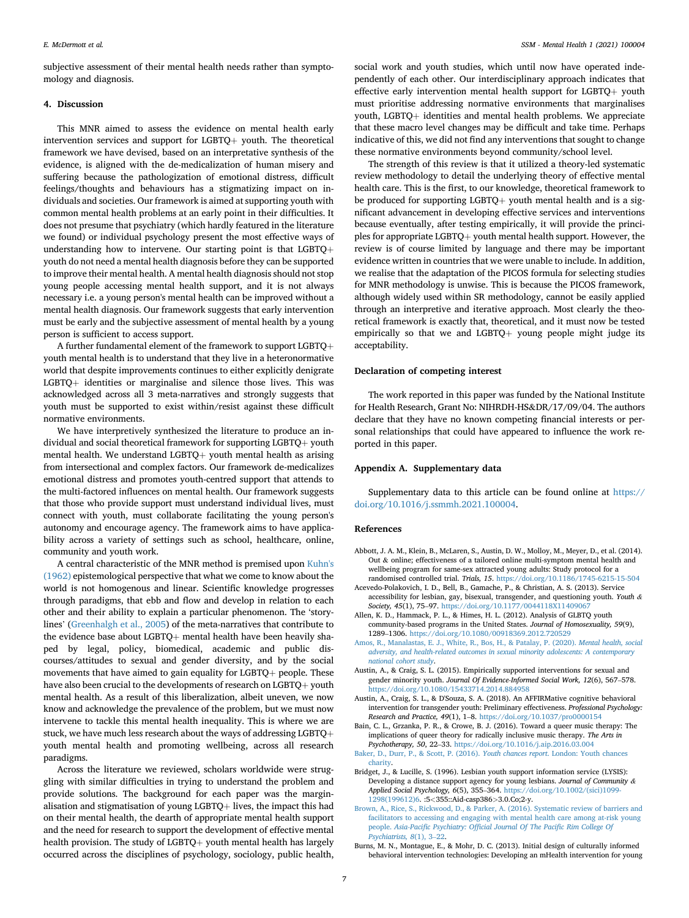subjective assessment of their mental health needs rather than symptomology and diagnosis.

# 4. Discussion

This MNR aimed to assess the evidence on mental health early intervention services and support for LGBTQ $+$  youth. The theoretical framework we have devised, based on an interpretative synthesis of the evidence, is aligned with the de-medicalization of human misery and suffering because the pathologization of emotional distress, difficult feelings/thoughts and behaviours has a stigmatizing impact on individuals and societies. Our framework is aimed at supporting youth with common mental health problems at an early point in their difficulties. It does not presume that psychiatry (which hardly featured in the literature we found) or individual psychology present the most effective ways of understanding how to intervene. Our starting point is that  $LGBTQ +$ youth do not need a mental health diagnosis before they can be supported to improve their mental health. A mental health diagnosis should not stop young people accessing mental health support, and it is not always necessary i.e. a young person's mental health can be improved without a mental health diagnosis. Our framework suggests that early intervention must be early and the subjective assessment of mental health by a young person is sufficient to access support.

A further fundamental element of the framework to support LGBTQ $+$ youth mental health is to understand that they live in a heteronormative world that despite improvements continues to either explicitly denigrate  $LGBTQ+$  identities or marginalise and silence those lives. This was acknowledged across all 3 meta-narratives and strongly suggests that youth must be supported to exist within/resist against these difficult normative environments.

We have interpretively synthesized the literature to produce an individual and social theoretical framework for supporting LGBTQ $+$  youth mental health. We understand LGBTQ $+$  youth mental health as arising from intersectional and complex factors. Our framework de-medicalizes emotional distress and promotes youth-centred support that attends to the multi-factored influences on mental health. Our framework suggests that those who provide support must understand individual lives, must connect with youth, must collaborate facilitating the young person's autonomy and encourage agency. The framework aims to have applicability across a variety of settings such as school, healthcare, online, community and youth work.

A central characteristic of the MNR method is premised upon [Kuhn's](#page-7-50) [\(1962\)](#page-7-50) epistemological perspective that what we come to know about the world is not homogenous and linear. Scientific knowledge progresses through paradigms, that ebb and flow and develop in relation to each other and their ability to explain a particular phenomenon. The 'storylines' ([Greenhalgh et al., 2005](#page-7-7)) of the meta-narratives that contribute to the evidence base about LGBTQ $+$  mental health have been heavily shaped by legal, policy, biomedical, academic and public discourses/attitudes to sexual and gender diversity, and by the social movements that have aimed to gain equality for  $LGBTQ$  people. These have also been crucial to the developments of research on  $LGBTQ +$  youth mental health. As a result of this liberalization, albeit uneven, we now know and acknowledge the prevalence of the problem, but we must now intervene to tackle this mental health inequality. This is where we are stuck, we have much less research about the ways of addressing LGBTQ+ youth mental health and promoting wellbeing, across all research paradigms.

Across the literature we reviewed, scholars worldwide were struggling with similar difficulties in trying to understand the problem and provide solutions. The background for each paper was the marginalisation and stigmatisation of young  $LGBTQ +$  lives, the impact this had on their mental health, the dearth of appropriate mental health support and the need for research to support the development of effective mental health provision. The study of  $LGBTO+$  youth mental health has largely occurred across the disciplines of psychology, sociology, public health,

social work and youth studies, which until now have operated independently of each other. Our interdisciplinary approach indicates that effective early intervention mental health support for LGBTQ $+$  youth must prioritise addressing normative environments that marginalises youth, LGBTQ+ identities and mental health problems. We appreciate that these macro level changes may be difficult and take time. Perhaps indicative of this, we did not find any interventions that sought to change these normative environments beyond community/school level.

The strength of this review is that it utilized a theory-led systematic review methodology to detail the underlying theory of effective mental health care. This is the first, to our knowledge, theoretical framework to be produced for supporting LGBTQ $+$  youth mental health and is a significant advancement in developing effective services and interventions because eventually, after testing empirically, it will provide the principles for appropriate LGBTQ $+$  youth mental health support. However, the review is of course limited by language and there may be important evidence written in countries that we were unable to include. In addition, we realise that the adaptation of the PICOS formula for selecting studies for MNR methodology is unwise. This is because the PICOS framework, although widely used within SR methodology, cannot be easily applied through an interpretive and iterative approach. Most clearly the theoretical framework is exactly that, theoretical, and it must now be tested empirically so that we and LGBTQ $+$  young people might judge its acceptability.

# Declaration of competing interest

The work reported in this paper was funded by the National Institute for Health Research, Grant No: NIHRDH-HS&DR/17/09/04. The authors declare that they have no known competing financial interests or personal relationships that could have appeared to influence the work reported in this paper.

# Appendix A. Supplementary data

Supplementary data to this article can be found online at [https://](https://doi.org/10.1016/j.ssmmh.2021.100004) [doi.org/10.1016/j.ssmmh.2021.100004.](https://doi.org/10.1016/j.ssmmh.2021.100004)

#### References

- <span id="page-6-3"></span>Abbott, J. A. M., Klein, B., McLaren, S., Austin, D. W., Molloy, M., Meyer, D., et al. (2014). Out & online; effectiveness of a tailored online multi-symptom mental health and wellbeing program for same-sex attracted young adults: Study protocol for a randomised controlled trial. Trials, 15. <https://doi.org/10.1186/1745-6215-15-504>
- <span id="page-6-1"></span>Acevedo-Polakovich, I. D., Bell, B., Gamache, P., & Christian, A. S. (2013). Service accessibility for lesbian, gay, bisexual, transgender, and questioning youth. Youth & Society, 45(1), 75–97. <https://doi.org/10.1177/0044118X11409067>
- <span id="page-6-6"></span>Allen, K. D., Hammack, P. L., & Himes, H. L. (2012). Analysis of GLBTQ youth community-based programs in the United States. Journal of Homosexuality, 59(9), 1289–1306. <https://doi.org/10.1080/00918369.2012.720529>
- <span id="page-6-0"></span>[Amos, R., Manalastas, E. J., White, R., Bos, H., & Patalay, P. \(2020\).](http://refhub.elsevier.com/S2666-5603(21)00004-9/sref4) Mental health, social [adversity, and health-related outcomes in sexual minority adolescents: A contemporary](http://refhub.elsevier.com/S2666-5603(21)00004-9/sref4) [national cohort study](http://refhub.elsevier.com/S2666-5603(21)00004-9/sref4).
- <span id="page-6-7"></span>Austin, A., & Craig, S. L. (2015). Empirically supported interventions for sexual and gender minority youth. Journal Of Evidence-Informed Social Work, 12(6), 567–578. <https://doi.org/10.1080/15433714.2014.884958>
- <span id="page-6-4"></span>Austin, A., Craig, S. L., & D'Souza, S. A. (2018). An AFFIRMative cognitive behavioral intervention for transgender youth: Preliminary effectiveness. Professional Psychology: Research and Practice, 49(1), 1–8. <https://doi.org/10.1037/pro0000154>
- <span id="page-6-8"></span>Bain, C. L., Grzanka, P. R., & Crowe, B. J. (2016). Toward a queer music therapy: The implications of queer theory for radically inclusive music therapy. The Arts in Psychotherapy, 50, 22–33. <https://doi.org/10.1016/j.aip.2016.03.004>
- <span id="page-6-10"></span>[Baker, D., Durr, P., & Scott, P. \(2016\).](http://refhub.elsevier.com/S2666-5603(21)00004-9/optCxWneAYWU2) Youth chances report. London: Youth chances [charity](http://refhub.elsevier.com/S2666-5603(21)00004-9/optCxWneAYWU2).
- <span id="page-6-9"></span>Bridget, J., & Lucille, S. (1996). Lesbian youth support information service (LYSIS): Developing a distance support agency for young lesbians. Journal of Community & Applied Social Psychology, 6(5), 355–364. [https://doi.org/10.1002/\(sici\)1099-](https://doi.org/10.1002/(sici)1099-1298(199612)6) [1298\(199612\)6.](https://doi.org/10.1002/(sici)1099-1298(199612)6) :5<355::Aid-casp386>3.0.Co;2-y.
- <span id="page-6-2"></span>[Brown, A., Rice, S., Rickwood, D., & Parker, A. \(2016\). Systematic review of barriers and](http://refhub.elsevier.com/S2666-5603(21)00004-9/sref16) [facilitators to accessing and engaging with mental health care among at-risk young](http://refhub.elsevier.com/S2666-5603(21)00004-9/sref16) people. Asia-Pacific Psychiatry: Offi[cial Journal Of The Paci](http://refhub.elsevier.com/S2666-5603(21)00004-9/sref16)fic Rim College Of [Psychiatrists, 8](http://refhub.elsevier.com/S2666-5603(21)00004-9/sref16)(1), 3–[22.](http://refhub.elsevier.com/S2666-5603(21)00004-9/sref16)
- <span id="page-6-5"></span>Burns, M. N., Montague, E., & Mohr, D. C. (2013). Initial design of culturally informed behavioral intervention technologies: Developing an mHealth intervention for young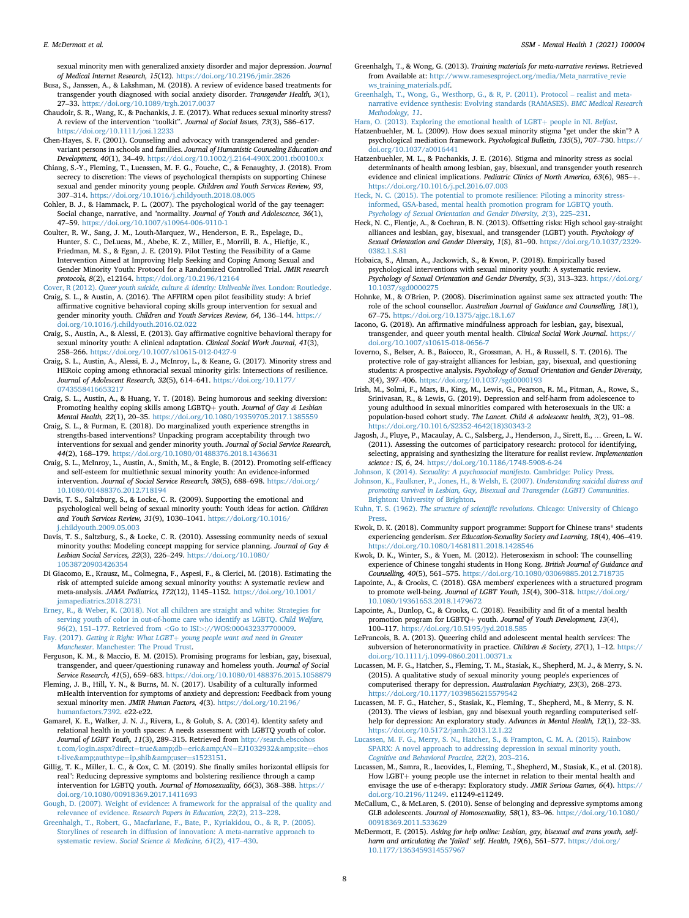sexual minority men with generalized anxiety disorder and major depression. Journal of Medical Internet Research, 15(12). <https://doi.org/10.2196/jmir.2826>

<span id="page-7-17"></span>Busa, S., Janssen, A., & Lakshman, M. (2018). A review of evidence based treatments for transgender youth diagnosed with social anxiety disorder. Transgender Health, 3(1), 27–33. <https://doi.org/10.1089/trgh.2017.0037>

<span id="page-7-31"></span>Chaudoir, S. R., Wang, K., & Pachankis, J. E. (2017). What reduces sexual minority stress? A review of the intervention "toolkit". Journal of Social Issues, 73(3), 586–617. <https://doi.org/10.1111/josi.12233>

<span id="page-7-32"></span>Chen-Hayes, S. F. (2001). Counseling and advocacy with transgendered and gendervariant persons in schools and families. Journal of Humanistic Counseling Education and Development, 40(1), 34–49. <https://doi.org/10.1002/j.2164-490X.2001.tb00100.x>

<span id="page-7-36"></span>Chiang, S.-Y., Fleming, T., Lucassen, M. F. G., Fouche, C., & Fenaughty, J. (2018). From secrecy to discretion: The views of psychological therapists on supporting Chinese sexual and gender minority young people. Children and Youth Services Review, 93, 307–314. <https://doi.org/10.1016/j.childyouth.2018.08.005>

<span id="page-7-33"></span>Cohler, B. J., & Hammack, P. L. (2007). The psychological world of the gay teenager: Social change, narrative, and "normality. Journal of Youth and Adolescence, 36(1), 47–59. <https://doi.org/10.1007/s10964-006-9110-1>

<span id="page-7-18"></span>Coulter, R. W., Sang, J. M., Louth-Marquez, W., Henderson, E. R., Espelage, D., Hunter, S. C., DeLucas, M., Abebe, K. Z., Miller, E., Morrill, B. A., Hieftje, K., Friedman, M. S., & Egan, J. E. (2019). Pilot Testing the Feasibility of a Game Intervention Aimed at Improving Help Seeking and Coping Among Sexual and Gender Minority Youth: Protocol for a Randomized Controlled Trial. JMIR research protocols, 8(2), e12164. <https://doi.org/10.2196/12164>

<span id="page-7-37"></span><span id="page-7-11"></span>Cover, R (2012). [Queer youth suicide, culture](http://refhub.elsevier.com/S2666-5603(21)00004-9/sref24) & [identity: Unliveable lives](http://refhub.elsevier.com/S2666-5603(21)00004-9/sref24). London: Routledge. Craig, S. L., & Austin, A. (2016). The AFFIRM open pilot feasibility study: A brief

affirmative cognitive behavioral coping skills group intervention for sexual and gender minority youth. Children and Youth Services Review, 64, 136–144. [https://](https://doi.org/10.1016/j.childyouth.2016.02.022) [doi.org/10.1016/j.childyouth.2016.02.022](https://doi.org/10.1016/j.childyouth.2016.02.022)

<span id="page-7-19"></span>Craig, S., Austin, A., & Alessi, E. (2013). Gay affirmative cognitive behavioral therapy for sexual minority youth: A clinical adaptation. Clinical Social Work Journal, 41(3), 258–266. <https://doi.org/10.1007/s10615-012-0427-9>

<span id="page-7-38"></span>Craig, S. L., Austin, A., Alessi, E. J., McInroy, L., & Keane, G. (2017). Minority stress and HERoic coping among ethnoracial sexual minority girls: Intersections of resilience. Journal of Adolescent Research, 32(5), 614–641. [https://doi.org/10.1177/](https://doi.org/10.1177/0743558416653217) [0743558416653217](https://doi.org/10.1177/0743558416653217)

<span id="page-7-20"></span>Craig, S. L., Austin, A., & Huang, Y. T. (2018). Being humorous and seeking diversion:<br>Promoting healthy coping skills among LGBTQ+ youth. Journal of Gay & Lesbian Mental Health, 22(1), 20–35. <https://doi.org/10.1080/19359705.2017.1385559>

<span id="page-7-34"></span>Craig, S. L., & Furman, E. (2018). Do marginalized youth experience strengths in strengths-based interventions? Unpacking program acceptability through two interventions for sexual and gender minority youth. Journal of Social Service Research, 44(2), 168–179. <https://doi.org/10.1080/01488376.2018.1436631>

<span id="page-7-5"></span>Craig, S. L., McInroy, L., Austin, A., Smith, M., & Engle, B. (2012). Promoting self-efficacy and self-esteem for multiethnic sexual minority youth: An evidence-informed<br>intervention. Journal of Social Service Research, 38(5), 688–698. [https://doi.org/](https://doi.org/10.1080/01488376.2012.718194) [10.1080/01488376.2012.718194](https://doi.org/10.1080/01488376.2012.718194)

<span id="page-7-39"></span>Davis, T. S., Saltzburg, S., & Locke, C. R. (2009). Supporting the emotional and psychological well being of sexual minority youth: Youth ideas for action. Children and Youth Services Review, 31(9), 1030–1041. [https://doi.org/10.1016/](https://doi.org/10.1016/j.childyouth.2009.05.003) [j.childyouth.2009.05.003](https://doi.org/10.1016/j.childyouth.2009.05.003)

<span id="page-7-40"></span>Davis, T. S., Saltzburg, S., & Locke, C. R. (2010). Assessing community needs of sexual minority youths: Modeling concept mapping for service planning. Journal of Gay &<br>Lesbian Social Services, 22(3), 226–249. [https://doi.org/10.1080/](https://doi.org/10.1080/10538720903426354) [10538720903426354](https://doi.org/10.1080/10538720903426354)

<span id="page-7-1"></span>Di Giacomo, E., Krausz, M., Colmegna, F., Aspesi, F., & Clerici, M. (2018). Estimating the risk of attempted suicide among sexual minority youths: A systematic review and meta-analysis. JAMA Pediatrics, 172(12), 1145–1152. [https://doi.org/10.1001/](https://doi.org/10.1001/jamapediatrics.2018.2731) [jamapediatrics.2018.2731](https://doi.org/10.1001/jamapediatrics.2018.2731)

<span id="page-7-41"></span>[Erney, R., & Weber, K. \(2018\). Not all children are straight and white: Strategies for](http://refhub.elsevier.com/S2666-5603(21)00004-9/sref34) [serving youth of color in out-of-home care who identify as LGBTQ.](http://refhub.elsevier.com/S2666-5603(21)00004-9/sref34) Child Welfare, 96[\(2\), 151](http://refhub.elsevier.com/S2666-5603(21)00004-9/sref34)–[177. Retrieved from](http://refhub.elsevier.com/S2666-5603(21)00004-9/sref34) <[Go to ISI](http://refhub.elsevier.com/S2666-5603(21)00004-9/sref34)>[://WOS:000432337700009](http://refhub.elsevier.com/S2666-5603(21)00004-9/sref34).

<span id="page-7-42"></span>Fay. (2017). [Getting it Right: What LGBT](http://refhub.elsevier.com/S2666-5603(21)00004-9/sref35)+ [young people want and need in Greater](http://refhub.elsevier.com/S2666-5603(21)00004-9/sref35) Manchester[. Manchester: The Proud Trust.](http://refhub.elsevier.com/S2666-5603(21)00004-9/sref35)

<span id="page-7-43"></span>Ferguson, K. M., & Maccio, E. M. (2015). Promising programs for lesbian, gay, bisexual, transgender, and queer/questioning runaway and homeless youth. Journal of Social Service Research, 41(5), 659–683. <https://doi.org/10.1080/01488376.2015.1058879>

<span id="page-7-21"></span>Fleming, J. B., Hill, Y. N., & Burns, M. N. (2017). Usability of a culturally informed mHealth intervention for symptoms of anxiety and depression: Feedback from young sexual minority men. JMIR Human Factors, 4(3). [https://doi.org/10.2196/](https://doi.org/10.2196/humanfactors.7392) [humanfactors.7392.](https://doi.org/10.2196/humanfactors.7392) e22-e22.

<span id="page-7-16"></span>Gamarel, K. E., Walker, J. N. J., Rivera, L., & Golub, S. A. (2014). Identity safety and relational health in youth spaces: A needs assessment with LGBTQ youth of color. Journal of LGBT Youth, 11(3), 289–315. Retrieved from [http://search.ebscohos](http://search.ebscohost.com/login.aspx?direct=true&db=eric&AN=EJ1032932&site=ehost-live&authtype=ip,shib&user=s1523151) [t.com/login.aspx?direct](http://search.ebscohost.com/login.aspx?direct=true&db=eric&AN=EJ1032932&site=ehost-live&authtype=ip,shib&user=s1523151)=[true](http://search.ebscohost.com/login.aspx?direct=true&db=eric&AN=EJ1032932&site=ehost-live&authtype=ip,shib&user=s1523151)&db=[eric](http://search.ebscohost.com/login.aspx?direct=true&db=eric&AN=EJ1032932&site=ehost-live&authtype=ip,shib&user=s1523151)&AN=[EJ1032932](http://search.ebscohost.com/login.aspx?direct=true&db=eric&AN=EJ1032932&site=ehost-live&authtype=ip,shib&user=s1523151)&site=[ehos](http://search.ebscohost.com/login.aspx?direct=true&db=eric&AN=EJ1032932&site=ehost-live&authtype=ip,shib&user=s1523151) [t-live](http://search.ebscohost.com/login.aspx?direct=true&db=eric&AN=EJ1032932&site=ehost-live&authtype=ip,shib&user=s1523151)&authtype=[ip,shib](http://search.ebscohost.com/login.aspx?direct=true&db=eric&AN=EJ1032932&site=ehost-live&authtype=ip,shib&user=s1523151)&user=[s1523151](http://search.ebscohost.com/login.aspx?direct=true&db=eric&AN=EJ1032932&site=ehost-live&authtype=ip,shib&user=s1523151).

<span id="page-7-35"></span>Gillig, T. K., Miller, L. C., & Cox, C. M. (2019). She finally smiles horizontal ellipsis for real": Reducing depressive symptoms and bolstering resilience through a camp intervention for LGBTQ youth. Journal of Homosexuality, 66(3), 368–388. [https://](https://doi.org/10.1080/00918369.2017.1411693) [doi.org/10.1080/00918369.2017.1411693](https://doi.org/10.1080/00918369.2017.1411693)

<span id="page-7-9"></span>[Gough, D. \(2007\). Weight of evidence: A framework for the appraisal of the quality and](http://refhub.elsevier.com/S2666-5603(21)00004-9/sref40) relevance of evidence. [Research Papers in Education, 22](http://refhub.elsevier.com/S2666-5603(21)00004-9/sref40)(2), 213–[228](http://refhub.elsevier.com/S2666-5603(21)00004-9/sref40).

<span id="page-7-7"></span>[Greenhalgh, T., Robert, G., Macfarlane, F., Bate, P., Kyriakidou, O., & R, P. \(2005\).](http://refhub.elsevier.com/S2666-5603(21)00004-9/sref41) [Storylines of research in diffusion of innovation: A meta-narrative approach to](http://refhub.elsevier.com/S2666-5603(21)00004-9/sref41) [systematic review.](http://refhub.elsevier.com/S2666-5603(21)00004-9/sref41) Social Science & [Medicine, 61](http://refhub.elsevier.com/S2666-5603(21)00004-9/sref41)(2), 417–[430](http://refhub.elsevier.com/S2666-5603(21)00004-9/sref41).

<span id="page-7-8"></span>Greenhalgh, T., & Wong, G. (2013). Training materials for meta-narrative reviews. Retrieved from Available at: [http://www.ramesesproject.org/media/Meta\\_narrative\\_revie](http://www.ramesesproject.org/media/Meta_narrative_reviews_training_materials.pdf) [ws\\_training\\_materials.pdf](http://www.ramesesproject.org/media/Meta_narrative_reviews_training_materials.pdf).

<span id="page-7-6"></span>[Greenhalgh, T., Wong, G., Westhorp, G., & R, P. \(2011\). Protocol](http://refhub.elsevier.com/S2666-5603(21)00004-9/sref43) – [realist and meta](http://refhub.elsevier.com/S2666-5603(21)00004-9/sref43)[narrative evidence synthesis: Evolving standards \(RAMASES\).](http://refhub.elsevier.com/S2666-5603(21)00004-9/sref43) BMC Medical Research [Methodology, 11](http://refhub.elsevier.com/S2666-5603(21)00004-9/sref43).

<span id="page-7-49"></span>[Hara, O. \(2013\). Exploring the emotional health of LGBT](http://refhub.elsevier.com/S2666-5603(21)00004-9/sref44)+ [people in NI.](http://refhub.elsevier.com/S2666-5603(21)00004-9/sref44) Belfast.

<span id="page-7-22"></span>Hatzenbuehler, M. L. (2009). How does sexual minority stigma "get under the skin"? A psychological mediation framework. Psychological Bulletin, 135(5), 707–730. [https://](https://doi.org/10.1037/a0016441) [doi.org/10.1037/a0016441](https://doi.org/10.1037/a0016441)

<span id="page-7-23"></span>Hatzenbuehler, M. L., & Pachankis, J. E. (2016). Stigma and minority stress as social determinants of health among lesbian, gay, bisexual, and transgender youth research evidence and clinical implications. Pediatric Clinics of North America, 63(6), 985-+. <https://doi.org/10.1016/j.pcl.2016.07.003>

<span id="page-7-24"></span>[Heck, N. C. \(2015\). The potential to promote resilience: Piloting a minority stress](http://refhub.elsevier.com/S2666-5603(21)00004-9/sref47)[informed, GSA-based, mental health promotion program for LGBTQ youth.](http://refhub.elsevier.com/S2666-5603(21)00004-9/sref47) [Psychology of Sexual Orientation and Gender Diversity, 2](http://refhub.elsevier.com/S2666-5603(21)00004-9/sref47)(3), 225–[231.](http://refhub.elsevier.com/S2666-5603(21)00004-9/sref47)

<span id="page-7-14"></span>Heck, N. C., Flentje, A., & Cochran, B. N. (2013). Offsetting risks: High school gay-straight alliances and lesbian, gay, bisexual, and transgender (LGBT) youth. Psychology of Sexual Orientation and Gender Diversity, 1(S), 81–90. [https://doi.org/10.1037/2329-](https://doi.org/10.1037/2329-0382.1.S.81) [0382.1.S.81](https://doi.org/10.1037/2329-0382.1.S.81)

<span id="page-7-25"></span>Hobaica, S., Alman, A., Jackowich, S., & Kwon, P. (2018). Empirically based psychological interventions with sexual minority youth: A systematic review. Psychology of Sexual Orientation and Gender Diversity, 5(3), 313–323. [https://doi.org/](https://doi.org/10.1037/sgd0000275) [10.1037/sgd0000275](https://doi.org/10.1037/sgd0000275)

<span id="page-7-44"></span>Hohnke, M., & O'Brien, P. (2008). Discrimination against same sex attracted youth: The role of the school counsellor. Australian Journal of Guidance and Counselling, 18(1), 67–75. <https://doi.org/10.1375/ajgc.18.1.67>

<span id="page-7-26"></span>Iacono, G. (2018). An affirmative mindfulness approach for lesbian, gay, bisexual, transgender, and queer youth mental health. Clinical Social Work Journal. [https://](https://doi.org/10.1007/s10615-018-0656-7) [doi.org/10.1007/s10615-018-0656-7](https://doi.org/10.1007/s10615-018-0656-7)

<span id="page-7-27"></span>Ioverno, S., Belser, A. B., Baiocco, R., Grossman, A. H., & Russell, S. T. (2016). The protective role of gay-straight alliances for lesbian, gay, bisexual, and questioning students: A prospective analysis. Psychology of Sexual Orientation and Gender Diversity, 3(4), 397–406. <https://doi.org/10.1037/sgd0000193>

<span id="page-7-0"></span>Irish, M., Solmi, F., Mars, B., King, M., Lewis, G., Pearson, R. M., Pitman, A., Rowe, S., Srinivasan, R., & Lewis, G. (2019). Depression and self-harm from adolescence to young adulthood in sexual minorities compared with heterosexuals in the UK: a population-based cohort study. The Lancet. Child & adolescent health, 3(2), 91–98. [https://doi.org/10.1016/S2352-4642\(18\)30343-2](https://doi.org/10.1016/S2352-4642(18)30343-2)

<span id="page-7-10"></span>Jagosh, J., Pluye, P., Macaulay, A. C., Salsberg, J., Henderson, J., Sirett, E., … Green, L. W. (2011). Assessing the outcomes of participatory research: protocol for identifying, selecting, appraising and synthesizing the literature for realist review. Implementation science : IS, 6, 24. <https://doi.org/10.1186/1748-5908-6-24>

<span id="page-7-13"></span>Johnson, K (2014). [Sexuality: A psychosocial manifesto](http://refhub.elsevier.com/S2666-5603(21)00004-9/sref6). Cambridge: Policy Press.

<span id="page-7-4"></span>[Johnson, K., Faulkner, P., Jones, H., & Welsh, E. \(2007\).](http://refhub.elsevier.com/S2666-5603(21)00004-9/sref5) Understanding suicidal distress and [promoting survival in Lesbian, Gay, Bisexual and Transgender \(LGBT\) Communities](http://refhub.elsevier.com/S2666-5603(21)00004-9/sref5). [Brighton: University of Brighton.](http://refhub.elsevier.com/S2666-5603(21)00004-9/sref5)

<span id="page-7-50"></span>Kuhn, T. S. (1962). The structure of scientific revolutions[. Chicago: University of Chicago](http://refhub.elsevier.com/S2666-5603(21)00004-9/sref55) [Press.](http://refhub.elsevier.com/S2666-5603(21)00004-9/sref55)

<span id="page-7-15"></span>Kwok, D. K. (2018). Community support programme: Support for Chinese trans\* students experiencing genderism. Sex Education-Sexuality Society and Learning, 18(4), 406–419. <https://doi.org/10.1080/14681811.2018.1428546>

<span id="page-7-45"></span>Kwok, D. K., Winter, S., & Yuen, M. (2012). Heterosexism in school: The counselling experience of Chinese tongzhi students in Hong Kong. British Journal of Guidance and Counselling, 40(5), 561–575. <https://doi.org/10.1080/03069885.2012.718735>

<span id="page-7-46"></span>Lapointe, A., & Crooks, C. (2018). GSA members' experiences with a structured program to promote well-being. Journal of LGBT Youth, 15(4), 300–318. [https://doi.org/](https://doi.org/10.1080/19361653.2018.1479672) [10.1080/19361653.2018.1479672](https://doi.org/10.1080/19361653.2018.1479672)

<span id="page-7-47"></span>Lapointe, A., Dunlop, C., & Crooks, C. (2018). Feasibility and fit of a mental health promotion program for LGBTQ+ youth. Journal of Youth Development, 13(4), 100–117. <https://doi.org/10.5195/jyd.2018.585>

<span id="page-7-48"></span>LeFrancois, B. A. (2013). Queering child and adolescent mental health services: The subversion of heteronormativity in practice. Children & Society, 27(1), 1-12. [https://](https://doi.org/10.1111/j.1099-0860.2011.00371.x) [doi.org/10.1111/j.1099-0860.2011.00371.x](https://doi.org/10.1111/j.1099-0860.2011.00371.x)

<span id="page-7-29"></span>Lucassen, M. F. G., Hatcher, S., Fleming, T. M., Stasiak, K., Shepherd, M. J., & Merry, S. N. (2015). A qualitative study of sexual minority young people's experiences of computerised therapy for depression. Australasian Psychiatry, 23(3), 268–273. <https://doi.org/10.1177/1039856215579542>

<span id="page-7-28"></span>Lucassen, M. F. G., Hatcher, S., Stasiak, K., Fleming, T., Shepherd, M., & Merry, S. N. (2013). The views of lesbian, gay and bisexual youth regarding computerised selfhelp for depression: An exploratory study. Advances in Mental Health, 12(1), 22–33. <https://doi.org/10.5172/jamh.2013.12.1.22>

<span id="page-7-12"></span>[Lucassen, M. F. G., Merry, S. N., Hatcher, S., & Frampton, C. M. A. \(2015\). Rainbow](http://refhub.elsevier.com/S2666-5603(21)00004-9/sref63) [SPARX: A novel approach to addressing depression in sexual minority youth.](http://refhub.elsevier.com/S2666-5603(21)00004-9/sref63) [Cognitive and Behavioral Practice, 22](http://refhub.elsevier.com/S2666-5603(21)00004-9/sref63)(2), 203–[216](http://refhub.elsevier.com/S2666-5603(21)00004-9/sref63).

<span id="page-7-3"></span>Lucassen, M., Samra, R., Iacovides, I., Fleming, T., Shepherd, M., Stasiak, K., et al. (2018). How LGBT+ young people use the internet in relation to their mental health and envisage the use of e-therapy: Exploratory study. JMIR Serious Games, 6(4). [https://](https://doi.org/10.2196/11249) [doi.org/10.2196/11249.](https://doi.org/10.2196/11249) e11249-e11249.

<span id="page-7-30"></span>McCallum, C., & McLaren, S. (2010). Sense of belonging and depressive symptoms among GLB adolescents. Journal of Homosexuality, 58(1), 83–96. [https://doi.org/10.1080/](https://doi.org/10.1080/00918369.2011.533629) [00918369.2011.533629](https://doi.org/10.1080/00918369.2011.533629)

<span id="page-7-2"></span>McDermott, E. (2015). Asking for help online: Lesbian, gay, bisexual and trans youth, selfharm and articulating the "failed' self. Health, 19(6), 561–577. [https://doi.org/](https://doi.org/10.1177/1363459314557967) [10.1177/1363459314557967](https://doi.org/10.1177/1363459314557967)